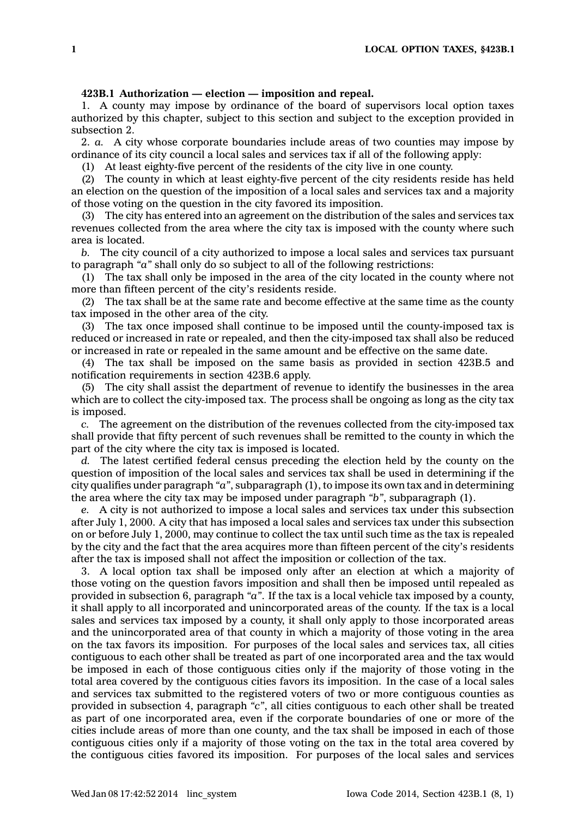## **423B.1 Authorization — election — imposition and repeal.**

1. A county may impose by ordinance of the board of supervisors local option taxes authorized by this chapter, subject to this section and subject to the exception provided in subsection 2.

2. *a.* A city whose corporate boundaries include areas of two counties may impose by ordinance of its city council <sup>a</sup> local sales and services tax if all of the following apply:

(1) At least eighty-five percent of the residents of the city live in one county.

(2) The county in which at least eighty-five percent of the city residents reside has held an election on the question of the imposition of <sup>a</sup> local sales and services tax and <sup>a</sup> majority of those voting on the question in the city favored its imposition.

(3) The city has entered into an agreement on the distribution of the sales and services tax revenues collected from the area where the city tax is imposed with the county where such area is located.

*b.* The city council of <sup>a</sup> city authorized to impose <sup>a</sup> local sales and services tax pursuant to paragraph *"a"* shall only do so subject to all of the following restrictions:

(1) The tax shall only be imposed in the area of the city located in the county where not more than fifteen percent of the city's residents reside.

(2) The tax shall be at the same rate and become effective at the same time as the county tax imposed in the other area of the city.

(3) The tax once imposed shall continue to be imposed until the county-imposed tax is reduced or increased in rate or repealed, and then the city-imposed tax shall also be reduced or increased in rate or repealed in the same amount and be effective on the same date.

(4) The tax shall be imposed on the same basis as provided in section 423B.5 and notification requirements in section 423B.6 apply.

(5) The city shall assist the department of revenue to identify the businesses in the area which are to collect the city-imposed tax. The process shall be ongoing as long as the city tax is imposed.

*c.* The agreement on the distribution of the revenues collected from the city-imposed tax shall provide that fifty percent of such revenues shall be remitted to the county in which the part of the city where the city tax is imposed is located.

*d.* The latest certified federal census preceding the election held by the county on the question of imposition of the local sales and services tax shall be used in determining if the city qualifies under paragraph *"a"*, subparagraph (1), to impose its own tax and in determining the area where the city tax may be imposed under paragraph *"b"*, subparagraph (1).

*e.* A city is not authorized to impose <sup>a</sup> local sales and services tax under this subsection after July 1, 2000. A city that has imposed <sup>a</sup> local sales and services tax under this subsection on or before July 1, 2000, may continue to collect the tax until such time as the tax is repealed by the city and the fact that the area acquires more than fifteen percent of the city's residents after the tax is imposed shall not affect the imposition or collection of the tax.

3. A local option tax shall be imposed only after an election at which <sup>a</sup> majority of those voting on the question favors imposition and shall then be imposed until repealed as provided in subsection 6, paragraph *"a"*. If the tax is <sup>a</sup> local vehicle tax imposed by <sup>a</sup> county, it shall apply to all incorporated and unincorporated areas of the county. If the tax is <sup>a</sup> local sales and services tax imposed by <sup>a</sup> county, it shall only apply to those incorporated areas and the unincorporated area of that county in which <sup>a</sup> majority of those voting in the area on the tax favors its imposition. For purposes of the local sales and services tax, all cities contiguous to each other shall be treated as part of one incorporated area and the tax would be imposed in each of those contiguous cities only if the majority of those voting in the total area covered by the contiguous cities favors its imposition. In the case of <sup>a</sup> local sales and services tax submitted to the registered voters of two or more contiguous counties as provided in subsection 4, paragraph *"c"*, all cities contiguous to each other shall be treated as part of one incorporated area, even if the corporate boundaries of one or more of the cities include areas of more than one county, and the tax shall be imposed in each of those contiguous cities only if <sup>a</sup> majority of those voting on the tax in the total area covered by the contiguous cities favored its imposition. For purposes of the local sales and services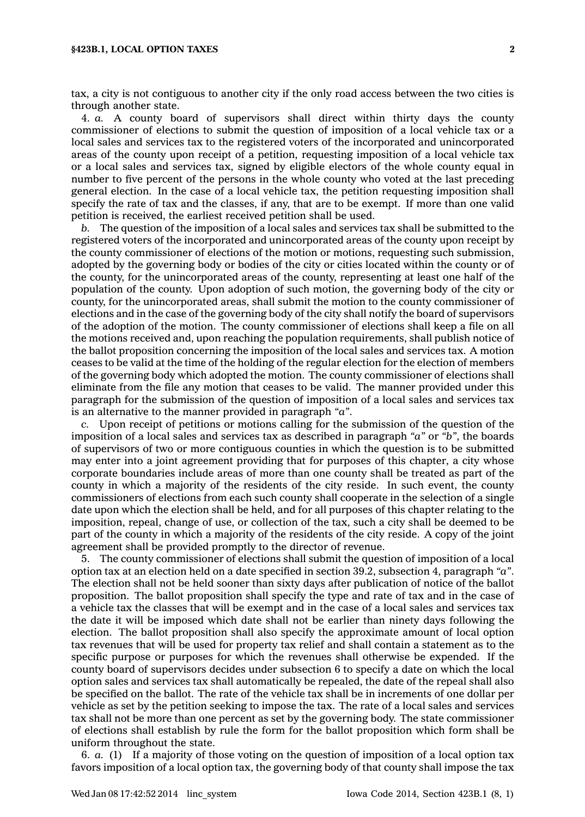## **§423B.1, LOCAL OPTION TAXES 2**

tax, <sup>a</sup> city is not contiguous to another city if the only road access between the two cities is through another state.

4. *a.* A county board of supervisors shall direct within thirty days the county commissioner of elections to submit the question of imposition of <sup>a</sup> local vehicle tax or <sup>a</sup> local sales and services tax to the registered voters of the incorporated and unincorporated areas of the county upon receipt of <sup>a</sup> petition, requesting imposition of <sup>a</sup> local vehicle tax or <sup>a</sup> local sales and services tax, signed by eligible electors of the whole county equal in number to five percent of the persons in the whole county who voted at the last preceding general election. In the case of <sup>a</sup> local vehicle tax, the petition requesting imposition shall specify the rate of tax and the classes, if any, that are to be exempt. If more than one valid petition is received, the earliest received petition shall be used.

*b.* The question of the imposition of <sup>a</sup> local sales and services tax shall be submitted to the registered voters of the incorporated and unincorporated areas of the county upon receipt by the county commissioner of elections of the motion or motions, requesting such submission, adopted by the governing body or bodies of the city or cities located within the county or of the county, for the unincorporated areas of the county, representing at least one half of the population of the county. Upon adoption of such motion, the governing body of the city or county, for the unincorporated areas, shall submit the motion to the county commissioner of elections and in the case of the governing body of the city shall notify the board of supervisors of the adoption of the motion. The county commissioner of elections shall keep <sup>a</sup> file on all the motions received and, upon reaching the population requirements, shall publish notice of the ballot proposition concerning the imposition of the local sales and services tax. A motion ceases to be valid at the time of the holding of the regular election for the election of members of the governing body which adopted the motion. The county commissioner of elections shall eliminate from the file any motion that ceases to be valid. The manner provided under this paragraph for the submission of the question of imposition of <sup>a</sup> local sales and services tax is an alternative to the manner provided in paragraph *"a"*.

*c.* Upon receipt of petitions or motions calling for the submission of the question of the imposition of <sup>a</sup> local sales and services tax as described in paragraph *"a"* or *"b"*, the boards of supervisors of two or more contiguous counties in which the question is to be submitted may enter into <sup>a</sup> joint agreement providing that for purposes of this chapter, <sup>a</sup> city whose corporate boundaries include areas of more than one county shall be treated as part of the county in which <sup>a</sup> majority of the residents of the city reside. In such event, the county commissioners of elections from each such county shall cooperate in the selection of <sup>a</sup> single date upon which the election shall be held, and for all purposes of this chapter relating to the imposition, repeal, change of use, or collection of the tax, such <sup>a</sup> city shall be deemed to be part of the county in which <sup>a</sup> majority of the residents of the city reside. A copy of the joint agreement shall be provided promptly to the director of revenue.

5. The county commissioner of elections shall submit the question of imposition of <sup>a</sup> local option tax at an election held on <sup>a</sup> date specified in section 39.2, subsection 4, paragraph *"a"*. The election shall not be held sooner than sixty days after publication of notice of the ballot proposition. The ballot proposition shall specify the type and rate of tax and in the case of <sup>a</sup> vehicle tax the classes that will be exempt and in the case of <sup>a</sup> local sales and services tax the date it will be imposed which date shall not be earlier than ninety days following the election. The ballot proposition shall also specify the approximate amount of local option tax revenues that will be used for property tax relief and shall contain <sup>a</sup> statement as to the specific purpose or purposes for which the revenues shall otherwise be expended. If the county board of supervisors decides under subsection 6 to specify <sup>a</sup> date on which the local option sales and services tax shall automatically be repealed, the date of the repeal shall also be specified on the ballot. The rate of the vehicle tax shall be in increments of one dollar per vehicle as set by the petition seeking to impose the tax. The rate of <sup>a</sup> local sales and services tax shall not be more than one percent as set by the governing body. The state commissioner of elections shall establish by rule the form for the ballot proposition which form shall be uniform throughout the state.

6. *a.* (1) If <sup>a</sup> majority of those voting on the question of imposition of <sup>a</sup> local option tax favors imposition of <sup>a</sup> local option tax, the governing body of that county shall impose the tax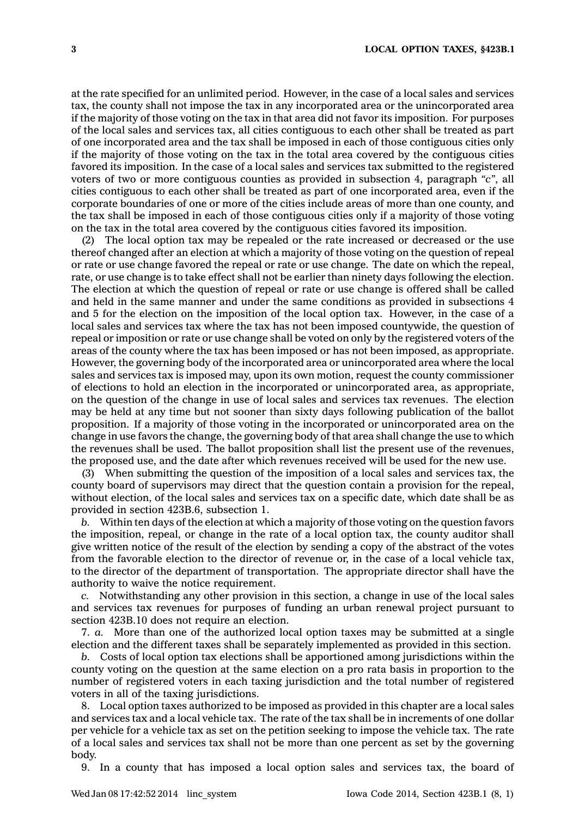at the rate specified for an unlimited period. However, in the case of <sup>a</sup> local sales and services tax, the county shall not impose the tax in any incorporated area or the unincorporated area if the majority of those voting on the tax in that area did not favor its imposition. For purposes of the local sales and services tax, all cities contiguous to each other shall be treated as part of one incorporated area and the tax shall be imposed in each of those contiguous cities only if the majority of those voting on the tax in the total area covered by the contiguous cities favored its imposition. In the case of <sup>a</sup> local sales and services tax submitted to the registered voters of two or more contiguous counties as provided in subsection 4, paragraph *"c"*, all cities contiguous to each other shall be treated as part of one incorporated area, even if the corporate boundaries of one or more of the cities include areas of more than one county, and the tax shall be imposed in each of those contiguous cities only if <sup>a</sup> majority of those voting on the tax in the total area covered by the contiguous cities favored its imposition.

(2) The local option tax may be repealed or the rate increased or decreased or the use thereof changed after an election at which <sup>a</sup> majority of those voting on the question of repeal or rate or use change favored the repeal or rate or use change. The date on which the repeal, rate, or use change is to take effect shall not be earlier than ninety days following the election. The election at which the question of repeal or rate or use change is offered shall be called and held in the same manner and under the same conditions as provided in subsections 4 and 5 for the election on the imposition of the local option tax. However, in the case of <sup>a</sup> local sales and services tax where the tax has not been imposed countywide, the question of repeal or imposition or rate or use change shall be voted on only by the registered voters of the areas of the county where the tax has been imposed or has not been imposed, as appropriate. However, the governing body of the incorporated area or unincorporated area where the local sales and services tax is imposed may, upon its own motion, request the county commissioner of elections to hold an election in the incorporated or unincorporated area, as appropriate, on the question of the change in use of local sales and services tax revenues. The election may be held at any time but not sooner than sixty days following publication of the ballot proposition. If <sup>a</sup> majority of those voting in the incorporated or unincorporated area on the change in use favors the change, the governing body of that area shall change the use to which the revenues shall be used. The ballot proposition shall list the present use of the revenues, the proposed use, and the date after which revenues received will be used for the new use.

(3) When submitting the question of the imposition of <sup>a</sup> local sales and services tax, the county board of supervisors may direct that the question contain <sup>a</sup> provision for the repeal, without election, of the local sales and services tax on <sup>a</sup> specific date, which date shall be as provided in section 423B.6, subsection 1.

*b.* Within ten days of the election at which <sup>a</sup> majority of those voting on the question favors the imposition, repeal, or change in the rate of <sup>a</sup> local option tax, the county auditor shall give written notice of the result of the election by sending <sup>a</sup> copy of the abstract of the votes from the favorable election to the director of revenue or, in the case of <sup>a</sup> local vehicle tax, to the director of the department of transportation. The appropriate director shall have the authority to waive the notice requirement.

*c.* Notwithstanding any other provision in this section, <sup>a</sup> change in use of the local sales and services tax revenues for purposes of funding an urban renewal project pursuant to section 423B.10 does not require an election.

7. *a.* More than one of the authorized local option taxes may be submitted at <sup>a</sup> single election and the different taxes shall be separately implemented as provided in this section.

*b.* Costs of local option tax elections shall be apportioned among jurisdictions within the county voting on the question at the same election on <sup>a</sup> pro rata basis in proportion to the number of registered voters in each taxing jurisdiction and the total number of registered voters in all of the taxing jurisdictions.

8. Local option taxes authorized to be imposed as provided in this chapter are <sup>a</sup> local sales and services tax and <sup>a</sup> local vehicle tax. The rate of the tax shall be in increments of one dollar per vehicle for <sup>a</sup> vehicle tax as set on the petition seeking to impose the vehicle tax. The rate of <sup>a</sup> local sales and services tax shall not be more than one percent as set by the governing body.

9. In <sup>a</sup> county that has imposed <sup>a</sup> local option sales and services tax, the board of